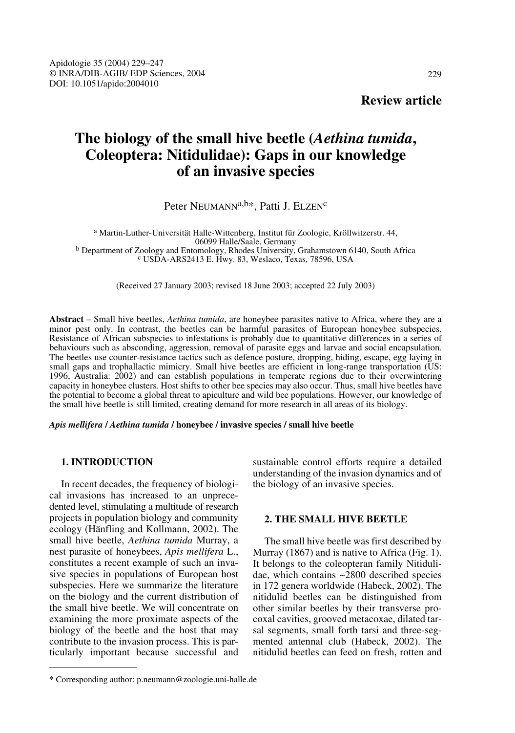# **The biology of the small hive beetle (***Aethina tumida***, Coleoptera: Nitidulidae): Gaps in our knowledge of an invasive species**

# Peter NEUMANN<sup>a,b\*</sup>, Patti J. ELZEN<sup>c</sup>

a Martin-Luther-Universität Halle-Wittenberg, Institut für Zoologie, Kröllwitzerstr. 44, <sup>b</sup> Department of Zoology and Entomology, Rhodes University, Grahamstown 6140, South Africa <sup>c</sup> USDA-ARS2413 E. Hwy. 83, Weslaco, Texas, 78596, USA

(Received 27 January 2003; revised 18 June 2003; accepted 22 July 2003)

**Abstract** – Small hive beetles, *Aethina tumida*, are honeybee parasites native to Africa, where they are a minor pest only. In contrast, the beetles can be harmful parasites of European honeybee subspecies. Resistance of African subspecies to infestations is probably due to quantitative differences in a series of behaviours such as absconding, aggression, removal of parasite eggs and larvae and social encapsulation. The beetles use counter-resistance tactics such as defence posture, dropping, hiding, escape, egg laying in small gaps and trophallactic mimicry. Small hive beetles are efficient in long-range transportation (US: 1996, Australia: 2002) and can establish populations in temperate regions due to their overwintering capacity in honeybee clusters. Host shifts to other bee species may also occur. Thus, small hive beetles have the potential to become a global threat to apiculture and wild bee populations. However, our knowledge of the small hive beetle is still limited, creating demand for more research in all areas of its biology.

#### *Apis mellifera* **/** *Aethina tumida* **/ honeybee / invasive species / small hive beetle**

## **1. INTRODUCTION**

In recent decades, the frequency of biological invasions has increased to an unprecedented level, stimulating a multitude of research projects in population biology and community ecology (Hänfling and Kollmann, 2002). The small hive beetle, *Aethina tumida* Murray, a nest parasite of honeybees, *Apis mellifera* L., constitutes a recent example of such an invasive species in populations of European host subspecies. Here we summarize the literature on the biology and the current distribution of the small hive beetle. We will concentrate on examining the more proximate aspects of the biology of the beetle and the host that may contribute to the invasion process. This is particularly important because successful and sustainable control efforts require a detailed understanding of the invasion dynamics and of the biology of an invasive species.

# **2. THE SMALL HIVE BEETLE**

The small hive beetle was first described by Murray (1867) and is native to Africa (Fig. 1). It belongs to the coleopteran family Nitidulidae, which contains ~2800 described species in 172 genera worldwide (Habeck, 2002). The nitidulid beetles can be distinguished from other similar beetles by their transverse procoxal cavities, grooved metacoxae, dilated tarsal segments, small forth tarsi and three-segmented antennal club (Habeck, 2002). The nitidulid beetles can feed on fresh, rotten and

<sup>\*</sup> Corresponding author: p.neumann@zoologie.uni-halle.de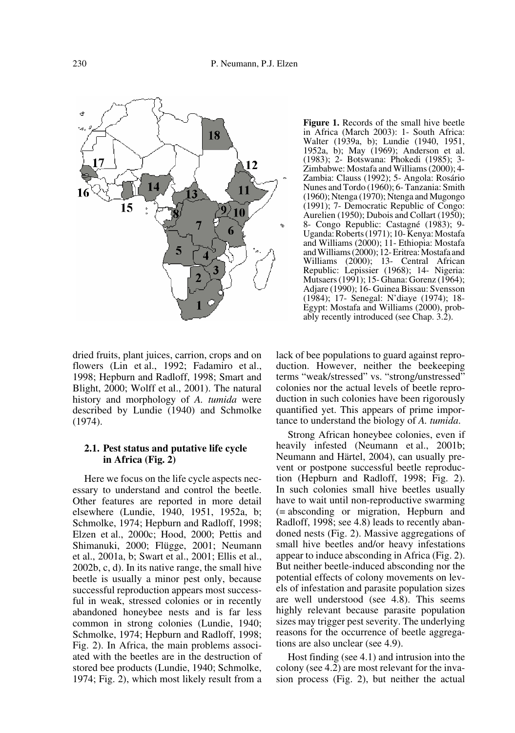

dried fruits, plant juices, carrion, crops and on flowers (Lin et al., 1992; Fadamiro et al., 1998; Hepburn and Radloff, 1998; Smart and Blight, 2000; Wolff et al., 2001). The natural history and morphology of *A. tumida* were described by Lundie (1940) and Schmolke (1974).

## **2.1. Pest status and putative life cycle in Africa (Fig. 2)**

Here we focus on the life cycle aspects necessary to understand and control the beetle. Other features are reported in more detail elsewhere (Lundie, 1940, 1951, 1952a, b; Schmolke, 1974; Hepburn and Radloff, 1998; Elzen et al., 2000c; Hood, 2000; Pettis and Shimanuki, 2000; Flügge, 2001; Neumann et al., 2001a, b; Swart et al., 2001; Ellis et al., 2002b, c, d). In its native range, the small hive beetle is usually a minor pest only, because successful reproduction appears most successful in weak, stressed colonies or in recently abandoned honeybee nests and is far less common in strong colonies (Lundie, 1940; Schmolke, 1974; Hepburn and Radloff, 1998; Fig. 2). In Africa, the main problems associated with the beetles are in the destruction of stored bee products (Lundie, 1940; Schmolke, 1974; Fig. 2), which most likely result from a **Figure 1.** Records of the small hive beetle in Africa (March 2003): 1- South Africa: Walter (1939a, b); Lundie (1940, 1951, 1952a, b); May (1969); Anderson et al. (1983); 2- Botswana: Phokedi (1985); 3- Zimbabwe: Mostafa and Williams (2000); 4- Zambia: Clauss (1992); 5- Angola: Rosário Nunes and Tordo (1960); 6- Tanzania: Smith (1960); Ntenga (1970); Ntenga and Mugongo (1991); 7- Democratic Republic of Congo: Aurelien (1950); Dubois and Collart (1950); 8- Congo Republic: Castagné (1983); 9- Uganda: Roberts (1971); 10- Kenya: Mostafa and Williams (2000); 11- Ethiopia: Mostafa and Williams (2000); 12- Eritrea: Mostafa and Williams (2000); 13- Central African Republic: Lepissier (1968); 14- Nigeria: Mutsaers (1991); 15- Ghana: Gorenz (1964); Adjare (1990); 16- Guinea Bissau: Svensson (1984); 17- Senegal: N'diaye (1974); 18- Egypt: Mostafa and Williams (2000), probably recently introduced (see Chap. 3.2).

lack of bee populations to guard against reproduction. However, neither the beekeeping terms "weak/stressed" vs. "strong/unstressed" colonies nor the actual levels of beetle reproduction in such colonies have been rigorously quantified yet. This appears of prime importance to understand the biology of *A. tumida*.

Strong African honeybee colonies, even if heavily infested (Neumann et al., 2001b; Neumann and Härtel, 2004), can usually prevent or postpone successful beetle reproduction (Hepburn and Radloff, 1998; Fig. 2). In such colonies small hive beetles usually have to wait until non-reproductive swarming (= absconding or migration, Hepburn and Radloff, 1998; see 4.8) leads to recently abandoned nests (Fig. 2). Massive aggregations of small hive beetles and/or heavy infestations appear to induce absconding in Africa (Fig. 2). But neither beetle-induced absconding nor the potential effects of colony movements on levels of infestation and parasite population sizes are well understood (see 4.8). This seems highly relevant because parasite population sizes may trigger pest severity. The underlying reasons for the occurrence of beetle aggregations are also unclear (see 4.9).

Host finding (see 4.1) and intrusion into the colony (see 4.2) are most relevant for the invasion process (Fig. 2), but neither the actual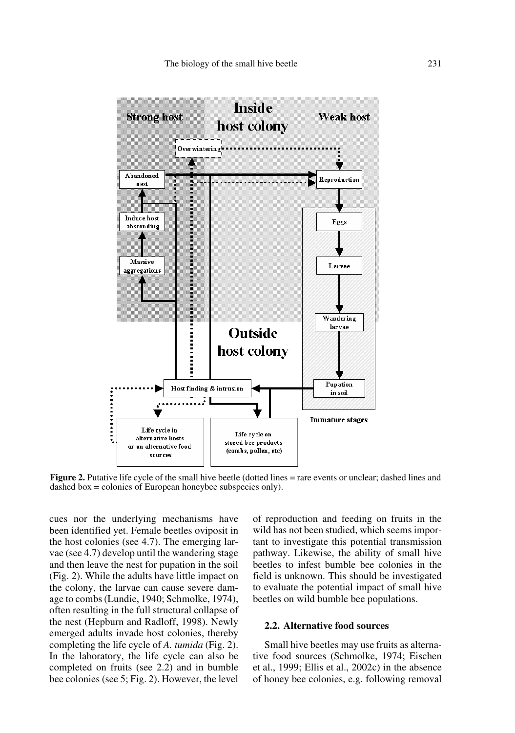

**Figure 2.** Putative life cycle of the small hive beetle (dotted lines = rare events or unclear; dashed lines and dashed box = colonies of European honeybee subspecies only).

cues nor the underlying mechanisms have been identified yet. Female beetles oviposit in the host colonies (see 4.7). The emerging larvae (see 4.7) develop until the wandering stage and then leave the nest for pupation in the soil (Fig. 2). While the adults have little impact on the colony, the larvae can cause severe damage to combs (Lundie, 1940; Schmolke, 1974), often resulting in the full structural collapse of the nest (Hepburn and Radloff, 1998). Newly emerged adults invade host colonies, thereby completing the life cycle of *A. tumida* (Fig. 2). In the laboratory, the life cycle can also be completed on fruits (see 2.2) and in bumble bee colonies (see 5; Fig. 2). However, the level of reproduction and feeding on fruits in the wild has not been studied, which seems important to investigate this potential transmission pathway. Likewise, the ability of small hive beetles to infest bumble bee colonies in the field is unknown. This should be investigated to evaluate the potential impact of small hive beetles on wild bumble bee populations.

## **2.2. Alternative food sources**

Small hive beetles may use fruits as alternative food sources (Schmolke, 1974; Eischen et al., 1999; Ellis et al., 2002c) in the absence of honey bee colonies, e.g. following removal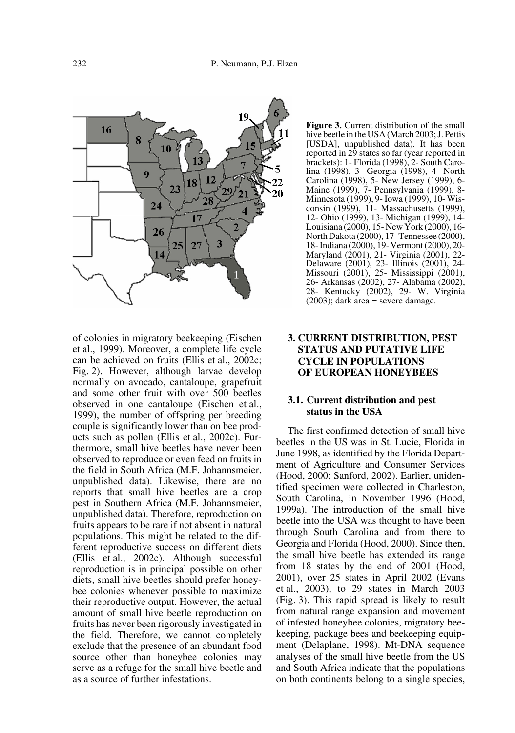

of colonies in migratory beekeeping (Eischen et al., 1999). Moreover, a complete life cycle can be achieved on fruits (Ellis et al., 2002c; Fig. 2). However, although larvae develop normally on avocado, cantaloupe, grapefruit and some other fruit with over 500 beetles observed in one cantaloupe (Eischen et al., 1999), the number of offspring per breeding couple is significantly lower than on bee products such as pollen (Ellis et al., 2002c). Furthermore, small hive beetles have never been observed to reproduce or even feed on fruits in the field in South Africa (M.F. Johannsmeier, unpublished data). Likewise, there are no reports that small hive beetles are a crop pest in Southern Africa (M.F. Johannsmeier, unpublished data). Therefore, reproduction on fruits appears to be rare if not absent in natural populations. This might be related to the different reproductive success on different diets (Ellis et al., 2002c). Although successful reproduction is in principal possible on other diets, small hive beetles should prefer honeybee colonies whenever possible to maximize their reproductive output. However, the actual amount of small hive beetle reproduction on fruits has never been rigorously investigated in the field. Therefore, we cannot completely exclude that the presence of an abundant food source other than honeybee colonies may serve as a refuge for the small hive beetle and as a source of further infestations.

**Figure 3.** Current distribution of the small hive beetle in the USA (March 2003; J. Pettis [USDA], unpublished data). It has been reported in 29 states so far (year reported in brackets): 1- Florida (1998), 2- South Carolina (1998), 3- Georgia (1998), 4- North Carolina (1998), 5- New Jersey (1999), 6- Maine (1999), 7- Pennsylvania (1999), 8- Minnesota (1999), 9- Iowa (1999), 10- Wisconsin (1999), 11- Massachusetts (1999), 12- Ohio (1999), 13- Michigan (1999), 14- Louisiana (2000), 15- New York (2000), 16- North Dakota (2000), 17- Tennessee (2000), 18- Indiana (2000), 19- Vermont (2000), 20- Maryland (2001), 21- Virginia (2001), 22- Delaware (2001), 23- Illinois (2001), 24- Missouri (2001), 25- Mississippi (2001), 26- Arkansas (2002), 27- Alabama (2002), 28- Kentucky (2002), 29- W. Virginia  $(2003)$ ; dark area = severe damage.

# **3. CURRENT DISTRIBUTION, PEST STATUS AND PUTATIVE LIFE CYCLE IN POPULATIONS OF EUROPEAN HONEYBEES**

# **3.1. Current distribution and pest status in the USA**

The first confirmed detection of small hive beetles in the US was in St. Lucie, Florida in June 1998, as identified by the Florida Department of Agriculture and Consumer Services (Hood, 2000; Sanford, 2002). Earlier, unidentified specimen were collected in Charleston, South Carolina, in November 1996 (Hood, 1999a). The introduction of the small hive beetle into the USA was thought to have been through South Carolina and from there to Georgia and Florida (Hood, 2000). Since then, the small hive beetle has extended its range from 18 states by the end of 2001 (Hood, 2001), over 25 states in April 2002 (Evans et al., 2003), to 29 states in March 2003 (Fig. 3). This rapid spread is likely to result from natural range expansion and movement of infested honeybee colonies, migratory beekeeping, package bees and beekeeping equipment (Delaplane, 1998). Mt-DNA sequence analyses of the small hive beetle from the US and South Africa indicate that the populations on both continents belong to a single species,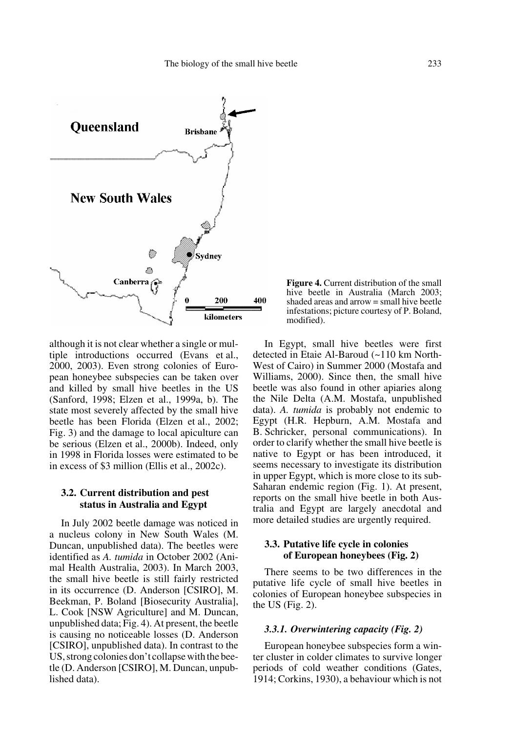

although it is not clear whether a single or multiple introductions occurred (Evans et al., 2000, 2003). Even strong colonies of European honeybee subspecies can be taken over and killed by small hive beetles in the US (Sanford, 1998; Elzen et al., 1999a, b). The state most severely affected by the small hive beetle has been Florida (Elzen et al., 2002; Fig. 3) and the damage to local apiculture can be serious (Elzen et al., 2000b). Indeed, only in 1998 in Florida losses were estimated to be in excess of \$3 million (Ellis et al., 2002c).

## **3.2. Current distribution and pest status in Australia and Egypt**

In July 2002 beetle damage was noticed in a nucleus colony in New South Wales (M. Duncan, unpublished data). The beetles were identified as *A. tumida* in October 2002 (Animal Health Australia, 2003). In March 2003, the small hive beetle is still fairly restricted in its occurrence (D. Anderson [CSIRO], M. Beekman, P. Boland [Biosecurity Australia], L. Cook [NSW Agriculture] and M. Duncan, unpublished data; Fig. 4). At present, the beetle is causing no noticeable losses (D. Anderson [CSIRO], unpublished data). In contrast to the US, strong colonies don't collapse with the beetle (D. Anderson [CSIRO], M. Duncan, unpublished data).

**Figure 4.** Current distribution of the small hive beetle in Australia (March 2003; shaded areas and arrow = small hive beetle infestations; picture courtesy of P. Boland, modified).

In Egypt, small hive beetles were first detected in Etaie Al-Baroud (~110 km North-West of Cairo) in Summer 2000 (Mostafa and Williams, 2000). Since then, the small hive beetle was also found in other apiaries along the Nile Delta (A.M. Mostafa, unpublished data). *A. tumida* is probably not endemic to Egypt (H.R. Hepburn, A.M. Mostafa and B. Schricker, personal communications). In order to clarify whether the small hive beetle is native to Egypt or has been introduced, it seems necessary to investigate its distribution in upper Egypt, which is more close to its sub-Saharan endemic region (Fig. 1). At present, reports on the small hive beetle in both Australia and Egypt are largely anecdotal and more detailed studies are urgently required.

# **3.3. Putative life cycle in colonies of European honeybees (Fig. 2)**

There seems to be two differences in the putative life cycle of small hive beetles in colonies of European honeybee subspecies in the US (Fig. 2).

## *3.3.1. Overwintering capacity (Fig. 2)*

European honeybee subspecies form a winter cluster in colder climates to survive longer periods of cold weather conditions (Gates, 1914; Corkins, 1930), a behaviour which is not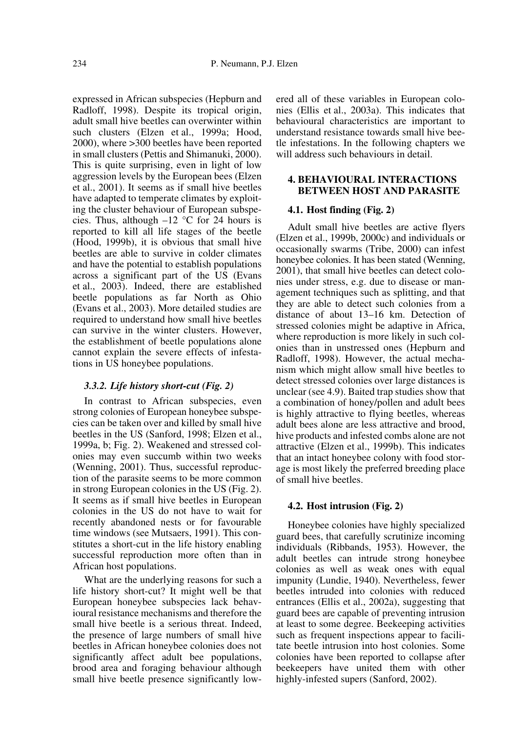expressed in African subspecies (Hepburn and Radloff, 1998). Despite its tropical origin, adult small hive beetles can overwinter within such clusters (Elzen et al., 1999a; Hood, 2000), where >300 beetles have been reported in small clusters (Pettis and Shimanuki, 2000). This is quite surprising, even in light of low aggression levels by the European bees (Elzen et al., 2001). It seems as if small hive beetles have adapted to temperate climates by exploiting the cluster behaviour of European subspecies. Thus, although  $-12$  °C for 24 hours is reported to kill all life stages of the beetle (Hood, 1999b), it is obvious that small hive beetles are able to survive in colder climates and have the potential to establish populations across a significant part of the US (Evans et al., 2003). Indeed, there are established beetle populations as far North as Ohio (Evans et al., 2003). More detailed studies are required to understand how small hive beetles can survive in the winter clusters. However, the establishment of beetle populations alone cannot explain the severe effects of infestations in US honeybee populations.

## *3.3.2. Life history short-cut (Fig. 2)*

In contrast to African subspecies, even strong colonies of European honeybee subspecies can be taken over and killed by small hive beetles in the US (Sanford, 1998; Elzen et al., 1999a, b; Fig. 2). Weakened and stressed colonies may even succumb within two weeks (Wenning, 2001). Thus, successful reproduction of the parasite seems to be more common in strong European colonies in the US (Fig. 2). It seems as if small hive beetles in European colonies in the US do not have to wait for recently abandoned nests or for favourable time windows (see Mutsaers, 1991). This constitutes a short-cut in the life history enabling successful reproduction more often than in African host populations.

What are the underlying reasons for such a life history short-cut? It might well be that European honeybee subspecies lack behavioural resistance mechanisms and therefore the small hive beetle is a serious threat. Indeed, the presence of large numbers of small hive beetles in African honeybee colonies does not significantly affect adult bee populations, brood area and foraging behaviour although small hive beetle presence significantly lowered all of these variables in European colonies (Ellis et al., 2003a). This indicates that behavioural characteristics are important to understand resistance towards small hive beetle infestations. In the following chapters we will address such behaviours in detail.

# **4. BEHAVIOURAL INTERACTIONS BETWEEN HOST AND PARASITE**

#### **4.1. Host finding (Fig. 2)**

Adult small hive beetles are active flyers (Elzen et al., 1999b, 2000c) and individuals or occasionally swarms (Tribe, 2000) can infest honeybee colonies. It has been stated (Wenning, 2001), that small hive beetles can detect colonies under stress, e.g. due to disease or management techniques such as splitting, and that they are able to detect such colonies from a distance of about 13–16 km. Detection of stressed colonies might be adaptive in Africa, where reproduction is more likely in such colonies than in unstressed ones (Hepburn and Radloff, 1998). However, the actual mechanism which might allow small hive beetles to detect stressed colonies over large distances is unclear (see 4.9). Baited trap studies show that a combination of honey/pollen and adult bees is highly attractive to flying beetles, whereas adult bees alone are less attractive and brood, hive products and infested combs alone are not attractive (Elzen et al., 1999b). This indicates that an intact honeybee colony with food storage is most likely the preferred breeding place of small hive beetles.

## **4.2. Host intrusion (Fig. 2)**

Honeybee colonies have highly specialized guard bees, that carefully scrutinize incoming individuals (Ribbands, 1953). However, the adult beetles can intrude strong honeybee colonies as well as weak ones with equal impunity (Lundie, 1940). Nevertheless, fewer beetles intruded into colonies with reduced entrances (Ellis et al., 2002a), suggesting that guard bees are capable of preventing intrusion at least to some degree. Beekeeping activities such as frequent inspections appear to facilitate beetle intrusion into host colonies. Some colonies have been reported to collapse after beekeepers have united them with other highly-infested supers (Sanford, 2002).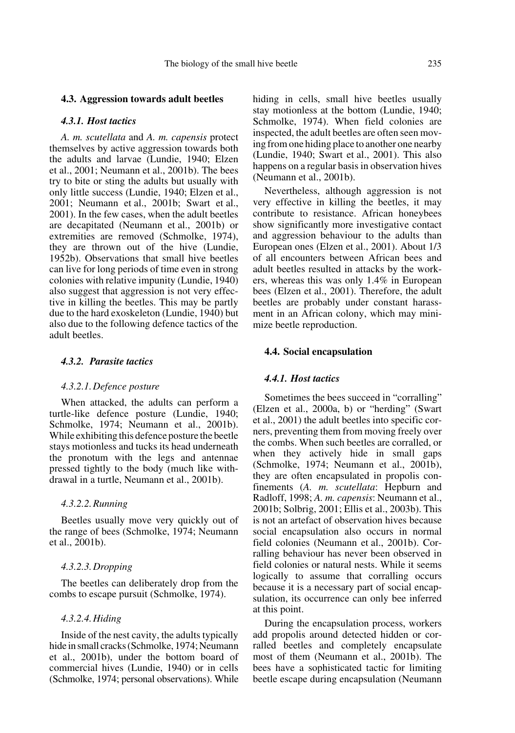## *4.3.1. Host tactics*

*A. m. scutellata* and *A. m. capensis* protect themselves by active aggression towards both the adults and larvae (Lundie, 1940; Elzen et al., 2001; Neumann et al., 2001b). The bees try to bite or sting the adults but usually with only little success (Lundie, 1940; Elzen et al., 2001; Neumann et al., 2001b; Swart et al., 2001). In the few cases, when the adult beetles are decapitated (Neumann et al., 2001b) or extremities are removed (Schmolke, 1974), they are thrown out of the hive (Lundie, 1952b). Observations that small hive beetles can live for long periods of time even in strong colonies with relative impunity (Lundie, 1940) also suggest that aggression is not very effective in killing the beetles. This may be partly due to the hard exoskeleton (Lundie, 1940) but also due to the following defence tactics of the adult beetles.

## *4.3.2. Parasite tactics*

#### *4.3.2.1.Defence posture*

When attacked, the adults can perform a turtle-like defence posture (Lundie, 1940; Schmolke, 1974; Neumann et al., 2001b). While exhibiting this defence posture the beetle stays motionless and tucks its head underneath the pronotum with the legs and antennae pressed tightly to the body (much like withdrawal in a turtle, Neumann et al., 2001b).

#### *4.3.2.2.Running*

Beetles usually move very quickly out of the range of bees (Schmolke, 1974; Neumann et al., 2001b).

#### *4.3.2.3.Dropping*

The beetles can deliberately drop from the combs to escape pursuit (Schmolke, 1974).

#### *4.3.2.4.Hiding*

Inside of the nest cavity, the adults typically hide in small cracks (Schmolke, 1974; Neumann et al., 2001b), under the bottom board of commercial hives (Lundie, 1940) or in cells (Schmolke, 1974; personal observations). While hiding in cells, small hive beetles usually stay motionless at the bottom (Lundie, 1940; Schmolke, 1974). When field colonies are inspected, the adult beetles are often seen moving from one hiding place to another one nearby (Lundie, 1940; Swart et al., 2001). This also happens on a regular basis in observation hives (Neumann et al., 2001b).

Nevertheless, although aggression is not very effective in killing the beetles, it may contribute to resistance. African honeybees show significantly more investigative contact and aggression behaviour to the adults than European ones (Elzen et al., 2001). About 1/3 of all encounters between African bees and adult beetles resulted in attacks by the workers, whereas this was only 1.4% in European bees (Elzen et al., 2001). Therefore, the adult beetles are probably under constant harassment in an African colony, which may minimize beetle reproduction.

#### **4.4. Social encapsulation**

#### *4.4.1. Host tactics*

Sometimes the bees succeed in "corralling" (Elzen et al., 2000a, b) or "herding" (Swart et al., 2001) the adult beetles into specific corners, preventing them from moving freely over the combs. When such beetles are corralled, or when they actively hide in small gaps (Schmolke, 1974; Neumann et al., 2001b), they are often encapsulated in propolis confinements (*A. m. scutellata*: Hepburn and Radloff, 1998; *A. m. capensis*: Neumann et al., 2001b; Solbrig, 2001; Ellis et al., 2003b). This is not an artefact of observation hives because social encapsulation also occurs in normal field colonies (Neumann et al., 2001b). Corralling behaviour has never been observed in field colonies or natural nests. While it seems logically to assume that corralling occurs because it is a necessary part of social encapsulation, its occurrence can only bee inferred at this point.

During the encapsulation process, workers add propolis around detected hidden or corralled beetles and completely encapsulate most of them (Neumann et al., 2001b). The bees have a sophisticated tactic for limiting beetle escape during encapsulation (Neumann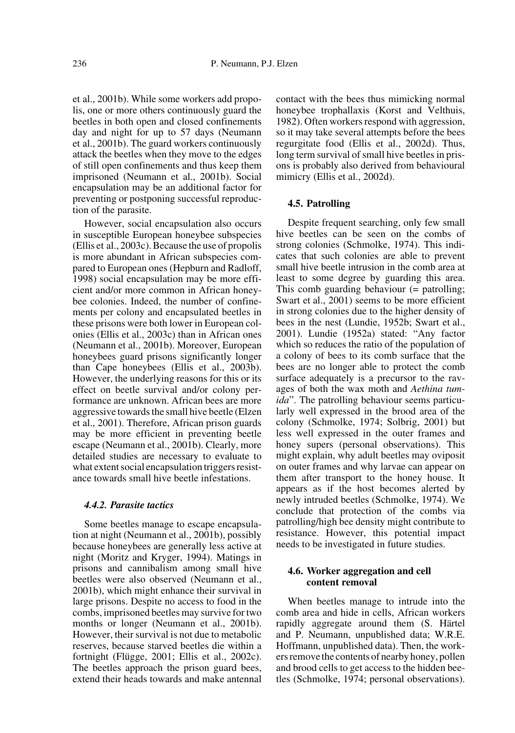et al., 2001b). While some workers add propolis, one or more others continuously guard the beetles in both open and closed confinements day and night for up to 57 days (Neumann et al., 2001b). The guard workers continuously attack the beetles when they move to the edges of still open confinements and thus keep them imprisoned (Neumann et al., 2001b). Social encapsulation may be an additional factor for preventing or postponing successful reproduction of the parasite.

However, social encapsulation also occurs in susceptible European honeybee subspecies (Ellis et al., 2003c). Because the use of propolis is more abundant in African subspecies compared to European ones (Hepburn and Radloff, 1998) social encapsulation may be more efficient and/or more common in African honeybee colonies. Indeed, the number of confinements per colony and encapsulated beetles in these prisons were both lower in European colonies (Ellis et al., 2003c) than in African ones (Neumann et al., 2001b). Moreover, European honeybees guard prisons significantly longer than Cape honeybees (Ellis et al., 2003b). However, the underlying reasons for this or its effect on beetle survival and/or colony performance are unknown. African bees are more aggressive towards the small hive beetle (Elzen et al., 2001). Therefore, African prison guards may be more efficient in preventing beetle escape (Neumann et al., 2001b). Clearly, more detailed studies are necessary to evaluate to what extent social encapsulation triggers resistance towards small hive beetle infestations.

#### *4.4.2. Parasite tactics*

Some beetles manage to escape encapsulation at night (Neumann et al., 2001b), possibly because honeybees are generally less active at night (Moritz and Kryger, 1994). Matings in prisons and cannibalism among small hive beetles were also observed (Neumann et al., 2001b), which might enhance their survival in large prisons. Despite no access to food in the combs, imprisoned beetles may survive for two months or longer (Neumann et al., 2001b). However, their survival is not due to metabolic reserves, because starved beetles die within a fortnight (Flügge, 2001; Ellis et al., 2002c). The beetles approach the prison guard bees, extend their heads towards and make antennal

contact with the bees thus mimicking normal honeybee trophallaxis (Korst and Velthuis, 1982). Often workers respond with aggression, so it may take several attempts before the bees regurgitate food (Ellis et al., 2002d). Thus, long term survival of small hive beetles in prisons is probably also derived from behavioural mimicry (Ellis et al., 2002d).

#### **4.5. Patrolling**

Despite frequent searching, only few small hive beetles can be seen on the combs of strong colonies (Schmolke, 1974). This indicates that such colonies are able to prevent small hive beetle intrusion in the comb area at least to some degree by guarding this area. This comb guarding behaviour (= patrolling; Swart et al., 2001) seems to be more efficient in strong colonies due to the higher density of bees in the nest (Lundie, 1952b; Swart et al., 2001). Lundie (1952a) stated: "Any factor which so reduces the ratio of the population of a colony of bees to its comb surface that the bees are no longer able to protect the comb surface adequately is a precursor to the ravages of both the wax moth and *Aethina tumida*". The patrolling behaviour seems particularly well expressed in the brood area of the colony (Schmolke, 1974; Solbrig, 2001) but less well expressed in the outer frames and honey supers (personal observations). This might explain, why adult beetles may oviposit on outer frames and why larvae can appear on them after transport to the honey house. It appears as if the host becomes alerted by newly intruded beetles (Schmolke, 1974). We conclude that protection of the combs via patrolling/high bee density might contribute to resistance. However, this potential impact needs to be investigated in future studies.

## **4.6. Worker aggregation and cell content removal**

When beetles manage to intrude into the comb area and hide in cells, African workers rapidly aggregate around them (S. Härtel and P. Neumann, unpublished data; W.R.E. Hoffmann, unpublished data). Then, the workers remove the contents of nearby honey, pollen and brood cells to get access to the hidden beetles (Schmolke, 1974; personal observations).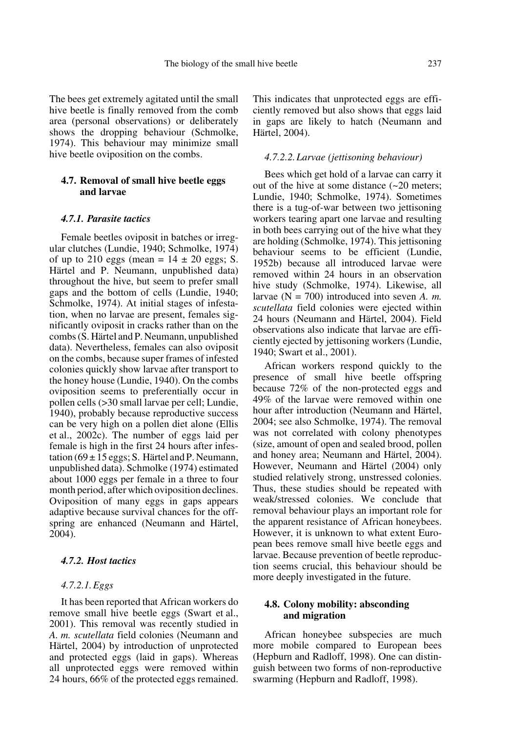The bees get extremely agitated until the small hive beetle is finally removed from the comb area (personal observations) or deliberately shows the dropping behaviour (Schmolke, 1974). This behaviour may minimize small hive beetle oviposition on the combs.

# **4.7. Removal of small hive beetle eggs and larvae**

## *4.7.1. Parasite tactics*

Female beetles oviposit in batches or irregular clutches (Lundie, 1940; Schmolke, 1974) of up to 210 eggs (mean =  $14 \pm 20$  eggs; S. Härtel and P. Neumann, unpublished data) throughout the hive, but seem to prefer small gaps and the bottom of cells (Lundie, 1940; Schmolke, 1974). At initial stages of infestation, when no larvae are present, females significantly oviposit in cracks rather than on the combs (S. Härtel and P. Neumann, unpublished data). Nevertheless, females can also oviposit on the combs, because super frames of infested colonies quickly show larvae after transport to the honey house (Lundie, 1940). On the combs oviposition seems to preferentially occur in pollen cells (>30 small larvae per cell; Lundie, 1940), probably because reproductive success can be very high on a pollen diet alone (Ellis et al., 2002c). The number of eggs laid per female is high in the first 24 hours after infestation  $(69 \pm 15$  eggs; S. Härtel and P. Neumann, unpublished data). Schmolke (1974) estimated about 1000 eggs per female in a three to four month period, after which oviposition declines. Oviposition of many eggs in gaps appears adaptive because survival chances for the offspring are enhanced (Neumann and Härtel, 2004).

# *4.7.2. Host tactics*

#### *4.7.2.1.Eggs*

It has been reported that African workers do remove small hive beetle eggs (Swart et al., 2001). This removal was recently studied in *A. m. scutellata* field colonies (Neumann and Härtel, 2004) by introduction of unprotected and protected eggs (laid in gaps). Whereas all unprotected eggs were removed within 24 hours, 66% of the protected eggs remained. This indicates that unprotected eggs are efficiently removed but also shows that eggs laid in gaps are likely to hatch (Neumann and Härtel, 2004).

#### *4.7.2.2.Larvae (jettisoning behaviour)*

Bees which get hold of a larvae can carry it out of the hive at some distance (~20 meters; Lundie, 1940; Schmolke, 1974). Sometimes there is a tug-of-war between two jettisoning workers tearing apart one larvae and resulting in both bees carrying out of the hive what they are holding (Schmolke, 1974). This jettisoning behaviour seems to be efficient (Lundie, 1952b) because all introduced larvae were removed within 24 hours in an observation hive study (Schmolke, 1974). Likewise, all larvae (N = 700) introduced into seven *A. m. scutellata* field colonies were ejected within 24 hours (Neumann and Härtel, 2004). Field observations also indicate that larvae are efficiently ejected by jettisoning workers (Lundie, 1940; Swart et al., 2001).

African workers respond quickly to the presence of small hive beetle offspring because 72% of the non-protected eggs and 49% of the larvae were removed within one hour after introduction (Neumann and Härtel, 2004; see also Schmolke, 1974). The removal was not correlated with colony phenotypes (size, amount of open and sealed brood, pollen and honey area; Neumann and Härtel, 2004). However, Neumann and Härtel (2004) only studied relatively strong, unstressed colonies. Thus, these studies should be repeated with weak/stressed colonies. We conclude that removal behaviour plays an important role for the apparent resistance of African honeybees. However, it is unknown to what extent European bees remove small hive beetle eggs and larvae. Because prevention of beetle reproduction seems crucial, this behaviour should be more deeply investigated in the future.

# **4.8. Colony mobility: absconding and migration**

African honeybee subspecies are much more mobile compared to European bees (Hepburn and Radloff, 1998). One can distinguish between two forms of non-reproductive swarming (Hepburn and Radloff, 1998).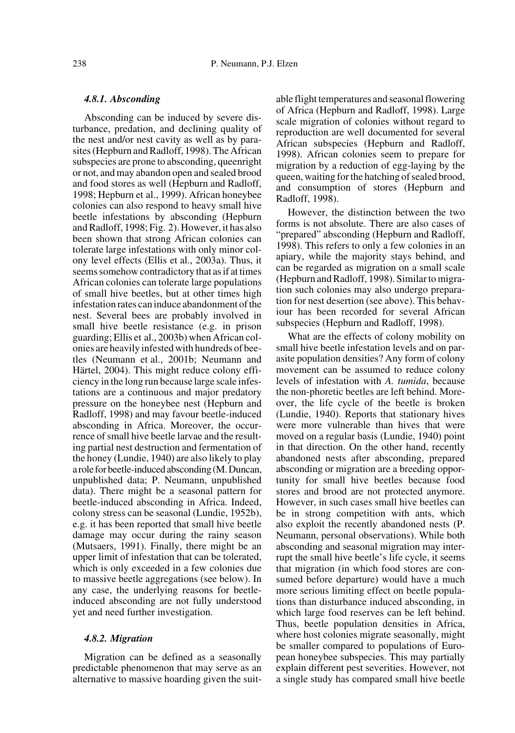#### *4.8.1. Absconding*

Absconding can be induced by severe disturbance, predation, and declining quality of the nest and/or nest cavity as well as by parasites (Hepburn and Radloff, 1998). The African subspecies are prone to absconding, queenright or not, and may abandon open and sealed brood and food stores as well (Hepburn and Radloff, 1998; Hepburn et al., 1999). African honeybee colonies can also respond to heavy small hive beetle infestations by absconding (Hepburn and Radloff, 1998; Fig. 2). However, it has also been shown that strong African colonies can tolerate large infestations with only minor colony level effects (Ellis et al., 2003a). Thus, it seems somehow contradictory that as if at times African colonies can tolerate large populations of small hive beetles, but at other times high infestation rates can induce abandonment of the nest. Several bees are probably involved in small hive beetle resistance (e.g. in prison guarding; Ellis et al., 2003b) when African colonies are heavily infested with hundreds of beetles (Neumann et al., 2001b; Neumann and Härtel, 2004). This might reduce colony efficiency in the long run because large scale infestations are a continuous and major predatory pressure on the honeybee nest (Hepburn and Radloff, 1998) and may favour beetle-induced absconding in Africa. Moreover, the occurrence of small hive beetle larvae and the resulting partial nest destruction and fermentation of the honey (Lundie, 1940) are also likely to play a role for beetle-induced absconding (M. Duncan, unpublished data; P. Neumann, unpublished data). There might be a seasonal pattern for beetle-induced absconding in Africa. Indeed, colony stress can be seasonal (Lundie, 1952b), e.g. it has been reported that small hive beetle damage may occur during the rainy season (Mutsaers, 1991). Finally, there might be an upper limit of infestation that can be tolerated, which is only exceeded in a few colonies due to massive beetle aggregations (see below). In any case, the underlying reasons for beetleinduced absconding are not fully understood yet and need further investigation.

#### *4.8.2. Migration*

Migration can be defined as a seasonally predictable phenomenon that may serve as an alternative to massive hoarding given the suitable flight temperatures and seasonal flowering of Africa (Hepburn and Radloff, 1998). Large scale migration of colonies without regard to reproduction are well documented for several African subspecies (Hepburn and Radloff, 1998). African colonies seem to prepare for migration by a reduction of egg-laying by the queen, waiting for the hatching of sealed brood, and consumption of stores (Hepburn and Radloff, 1998).

However, the distinction between the two forms is not absolute. There are also cases of "prepared" absconding (Hepburn and Radloff, 1998). This refers to only a few colonies in an apiary, while the majority stays behind, and can be regarded as migration on a small scale (Hepburn and Radloff, 1998). Similar to migration such colonies may also undergo preparation for nest desertion (see above). This behaviour has been recorded for several African subspecies (Hepburn and Radloff, 1998).

What are the effects of colony mobility on small hive beetle infestation levels and on parasite population densities? Any form of colony movement can be assumed to reduce colony levels of infestation with *A. tumida*, because the non-phoretic beetles are left behind. Moreover, the life cycle of the beetle is broken (Lundie, 1940). Reports that stationary hives were more vulnerable than hives that were moved on a regular basis (Lundie, 1940) point in that direction. On the other hand, recently abandoned nests after absconding, prepared absconding or migration are a breeding opportunity for small hive beetles because food stores and brood are not protected anymore. However, in such cases small hive beetles can be in strong competition with ants, which also exploit the recently abandoned nests (P. Neumann, personal observations). While both absconding and seasonal migration may interrupt the small hive beetle's life cycle, it seems that migration (in which food stores are consumed before departure) would have a much more serious limiting effect on beetle populations than disturbance induced absconding, in which large food reserves can be left behind. Thus, beetle population densities in Africa, where host colonies migrate seasonally, might be smaller compared to populations of European honeybee subspecies. This may partially explain different pest severities. However, not a single study has compared small hive beetle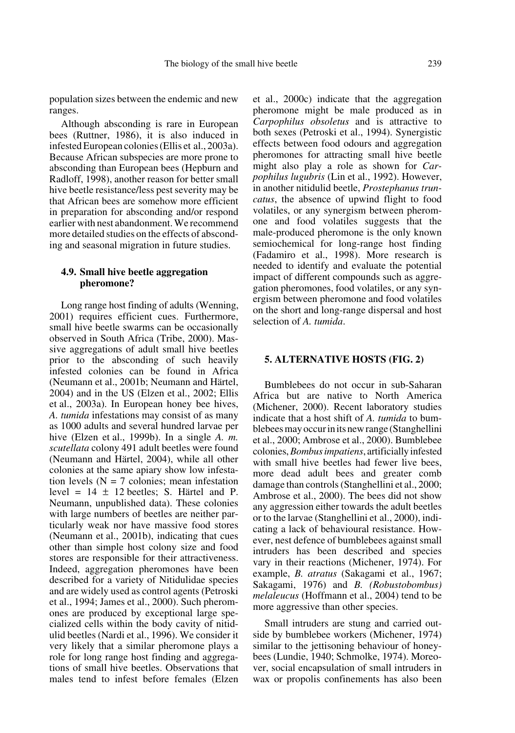population sizes between the endemic and new ranges.

Although absconding is rare in European bees (Ruttner, 1986), it is also induced in infested European colonies (Ellis et al., 2003a). Because African subspecies are more prone to absconding than European bees (Hepburn and Radloff, 1998), another reason for better small hive beetle resistance/less pest severity may be that African bees are somehow more efficient in preparation for absconding and/or respond earlier with nest abandonment. We recommend more detailed studies on the effects of absconding and seasonal migration in future studies.

## **4.9. Small hive beetle aggregation pheromone?**

Long range host finding of adults (Wenning, 2001) requires efficient cues. Furthermore, small hive beetle swarms can be occasionally observed in South Africa (Tribe, 2000). Massive aggregations of adult small hive beetles prior to the absconding of such heavily infested colonies can be found in Africa (Neumann et al., 2001b; Neumann and Härtel, 2004) and in the US (Elzen et al., 2002; Ellis et al., 2003a). In European honey bee hives, *A. tumida* infestations may consist of as many as 1000 adults and several hundred larvae per hive (Elzen et al., 1999b). In a single *A. m. scutellata* colony 491 adult beetles were found (Neumann and Härtel, 2004), while all other colonies at the same apiary show low infestation levels  $(N = 7$  colonies; mean infestation level =  $14 \pm 12$  beetles; S. Härtel and P. Neumann, unpublished data). These colonies with large numbers of beetles are neither particularly weak nor have massive food stores (Neumann et al., 2001b), indicating that cues other than simple host colony size and food stores are responsible for their attractiveness. Indeed, aggregation pheromones have been described for a variety of Nitidulidae species and are widely used as control agents (Petroski et al., 1994; James et al., 2000). Such pheromones are produced by exceptional large specialized cells within the body cavity of nitidulid beetles (Nardi et al., 1996). We consider it very likely that a similar pheromone plays a role for long range host finding and aggregations of small hive beetles. Observations that males tend to infest before females (Elzen et al., 2000c) indicate that the aggregation pheromone might be male produced as in *Carpophilus obsoletus* and is attractive to both sexes (Petroski et al., 1994). Synergistic effects between food odours and aggregation pheromones for attracting small hive beetle might also play a role as shown for *Carpophilus lugubris* (Lin et al., 1992). However, in another nitidulid beetle, *Prostephanus truncatus*, the absence of upwind flight to food volatiles, or any synergism between pheromone and food volatiles suggests that the male-produced pheromone is the only known semiochemical for long-range host finding (Fadamiro et al., 1998). More research is needed to identify and evaluate the potential impact of different compounds such as aggregation pheromones, food volatiles, or any synergism between pheromone and food volatiles on the short and long-range dispersal and host selection of *A. tumida*.

#### **5. ALTERNATIVE HOSTS (FIG. 2)**

Bumblebees do not occur in sub-Saharan Africa but are native to North America (Michener, 2000). Recent laboratory studies indicate that a host shift of *A. tumida* to bumblebees may occur in its new range (Stanghellini et al., 2000; Ambrose et al., 2000). Bumblebee colonies, *Bombus impatiens*, artificially infested with small hive beetles had fewer live bees, more dead adult bees and greater comb damage than controls (Stanghellini et al., 2000; Ambrose et al., 2000). The bees did not show any aggression either towards the adult beetles or to the larvae (Stanghellini et al., 2000), indicating a lack of behavioural resistance. However, nest defence of bumblebees against small intruders has been described and species vary in their reactions (Michener, 1974). For example, *B. atratus* (Sakagami et al., 1967; Sakagami, 1976) and *B. (Robustobombus) melaleucus* (Hoffmann et al., 2004) tend to be more aggressive than other species.

Small intruders are stung and carried outside by bumblebee workers (Michener, 1974) similar to the jettisoning behaviour of honeybees (Lundie, 1940; Schmolke, 1974). Moreover, social encapsulation of small intruders in wax or propolis confinements has also been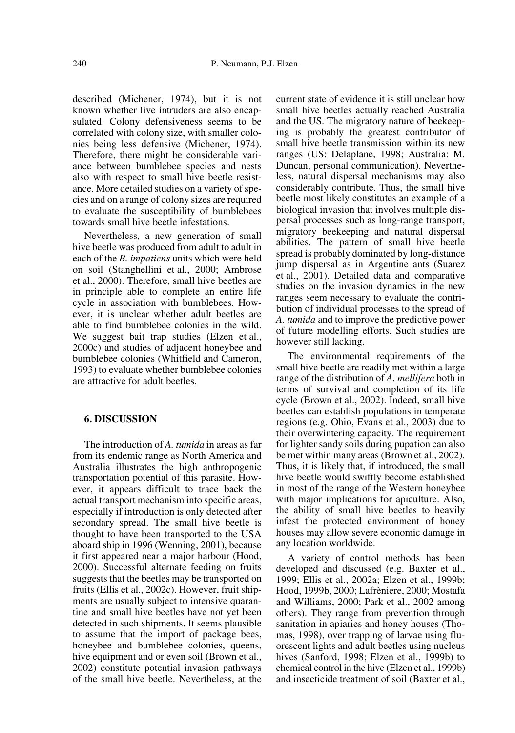described (Michener, 1974), but it is not known whether live intruders are also encapsulated. Colony defensiveness seems to be correlated with colony size, with smaller colonies being less defensive (Michener, 1974). Therefore, there might be considerable variance between bumblebee species and nests also with respect to small hive beetle resistance. More detailed studies on a variety of species and on a range of colony sizes are required to evaluate the susceptibility of bumblebees towards small hive beetle infestations.

Nevertheless, a new generation of small hive beetle was produced from adult to adult in each of the *B. impatiens* units which were held on soil (Stanghellini et al., 2000; Ambrose et al., 2000). Therefore, small hive beetles are in principle able to complete an entire life cycle in association with bumblebees. However, it is unclear whether adult beetles are able to find bumblebee colonies in the wild. We suggest bait trap studies (Elzen et al., 2000c) and studies of adjacent honeybee and bumblebee colonies (Whitfield and Cameron, 1993) to evaluate whether bumblebee colonies are attractive for adult beetles.

## **6. DISCUSSION**

The introduction of *A. tumida* in areas as far from its endemic range as North America and Australia illustrates the high anthropogenic transportation potential of this parasite. However, it appears difficult to trace back the actual transport mechanism into specific areas, especially if introduction is only detected after secondary spread. The small hive beetle is thought to have been transported to the USA aboard ship in 1996 (Wenning, 2001), because it first appeared near a major harbour (Hood, 2000). Successful alternate feeding on fruits suggests that the beetles may be transported on fruits (Ellis et al., 2002c). However, fruit shipments are usually subject to intensive quarantine and small hive beetles have not yet been detected in such shipments. It seems plausible to assume that the import of package bees, honeybee and bumblebee colonies, queens, hive equipment and or even soil (Brown et al., 2002) constitute potential invasion pathways of the small hive beetle. Nevertheless, at the current state of evidence it is still unclear how small hive beetles actually reached Australia and the US. The migratory nature of beekeeping is probably the greatest contributor of small hive beetle transmission within its new ranges (US: Delaplane, 1998; Australia: M. Duncan, personal communication). Nevertheless, natural dispersal mechanisms may also considerably contribute. Thus, the small hive beetle most likely constitutes an example of a biological invasion that involves multiple dispersal processes such as long-range transport, migratory beekeeping and natural dispersal abilities. The pattern of small hive beetle spread is probably dominated by long-distance jump dispersal as in Argentine ants (Suarez et al., 2001). Detailed data and comparative studies on the invasion dynamics in the new ranges seem necessary to evaluate the contribution of individual processes to the spread of *A. tumida* and to improve the predictive power of future modelling efforts. Such studies are however still lacking.

The environmental requirements of the small hive beetle are readily met within a large range of the distribution of *A. mellifera* both in terms of survival and completion of its life cycle (Brown et al., 2002). Indeed, small hive beetles can establish populations in temperate regions (e.g. Ohio, Evans et al., 2003) due to their overwintering capacity. The requirement for lighter sandy soils during pupation can also be met within many areas (Brown et al., 2002). Thus, it is likely that, if introduced, the small hive beetle would swiftly become established in most of the range of the Western honeybee with major implications for apiculture. Also, the ability of small hive beetles to heavily infest the protected environment of honey houses may allow severe economic damage in any location worldwide.

A variety of control methods has been developed and discussed (e.g. Baxter et al., 1999; Ellis et al., 2002a; Elzen et al., 1999b; Hood, 1999b, 2000; Lafrèniere, 2000; Mostafa and Williams, 2000; Park et al., 2002 among others). They range from prevention through sanitation in apiaries and honey houses (Thomas, 1998), over trapping of larvae using fluorescent lights and adult beetles using nucleus hives (Sanford, 1998; Elzen et al., 1999b) to chemical control in the hive (Elzen et al., 1999b) and insecticide treatment of soil (Baxter et al.,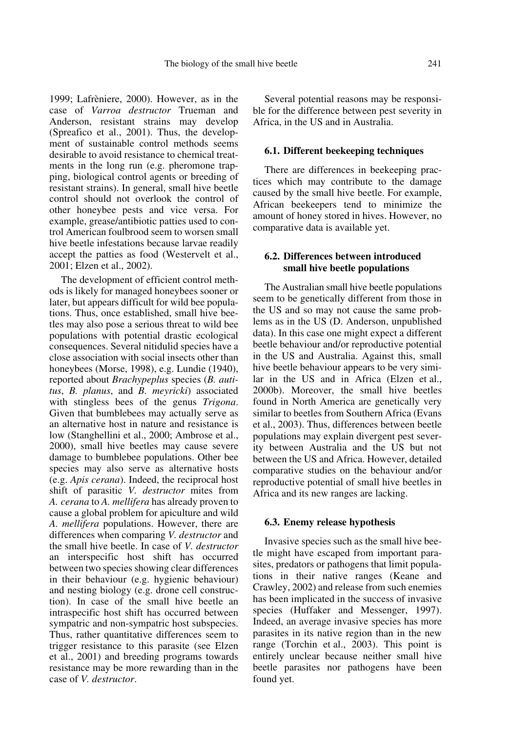1999; Lafrèniere, 2000). However, as in the case of *Varroa destructor* Trueman and Anderson, resistant strains may develop (Spreafico et al., 2001). Thus, the development of sustainable control methods seems desirable to avoid resistance to chemical treatments in the long run (e.g. pheromone trapping, biological control agents or breeding of resistant strains). In general, small hive beetle control should not overlook the control of other honeybee pests and vice versa. For example, grease/antibiotic patties used to control American foulbrood seem to worsen small hive beetle infestations because larvae readily accept the patties as food (Westervelt et al., 2001; Elzen et al., 2002).

The development of efficient control methods is likely for managed honeybees sooner or later, but appears difficult for wild bee populations. Thus, once established, small hive beetles may also pose a serious threat to wild bee populations with potential drastic ecological consequences. Several nitidulid species have a close association with social insects other than honeybees (Morse, 1998), e.g. Lundie (1940), reported about *Brachypeplus* species (*B. autitus*, *B. planus*, and *B. meyricki*) associated with stingless bees of the genus *Trigona*. Given that bumblebees may actually serve as an alternative host in nature and resistance is low (Stanghellini et al., 2000; Ambrose et al., 2000), small hive beetles may cause severe damage to bumblebee populations. Other bee species may also serve as alternative hosts (e.g. *Apis cerana*). Indeed, the reciprocal host shift of parasitic *V. destructor* mites from *A. cerana* to *A. mellifera* has already proven to cause a global problem for apiculture and wild *A. mellifera* populations. However, there are differences when comparing *V. destructor* and the small hive beetle. In case of *V. destructor* an interspecific host shift has occurred between two species showing clear differences in their behaviour (e.g. hygienic behaviour) and nesting biology (e.g. drone cell construction). In case of the small hive beetle an intraspecific host shift has occurred between sympatric and non-sympatric host subspecies. Thus, rather quantitative differences seem to trigger resistance to this parasite (see Elzen et al., 2001) and breeding programs towards resistance may be more rewarding than in the case of *V. destructor*.

Several potential reasons may be responsible for the difference between pest severity in Africa, in the US and in Australia.

# **6.1. Different beekeeping techniques**

There are differences in beekeeping practices which may contribute to the damage caused by the small hive beetle. For example, African beekeepers tend to minimize the amount of honey stored in hives. However, no comparative data is available yet.

# **6.2. Differences between introduced small hive beetle populations**

The Australian small hive beetle populations seem to be genetically different from those in the US and so may not cause the same problems as in the US (D. Anderson, unpublished data). In this case one might expect a different beetle behaviour and/or reproductive potential in the US and Australia. Against this, small hive beetle behaviour appears to be very similar in the US and in Africa (Elzen et al., 2000b). Moreover, the small hive beetles found in North America are genetically very similar to beetles from Southern Africa (Evans et al., 2003). Thus, differences between beetle populations may explain divergent pest severity between Australia and the US but not between the US and Africa. However, detailed comparative studies on the behaviour and/or reproductive potential of small hive beetles in Africa and its new ranges are lacking.

#### **6.3. Enemy release hypothesis**

Invasive species such as the small hive beetle might have escaped from important parasites, predators or pathogens that limit populations in their native ranges (Keane and Crawley, 2002) and release from such enemies has been implicated in the success of invasive species (Huffaker and Messenger, 1997). Indeed, an average invasive species has more parasites in its native region than in the new range (Torchin et al., 2003). This point is entirely unclear because neither small hive beetle parasites nor pathogens have been found yet.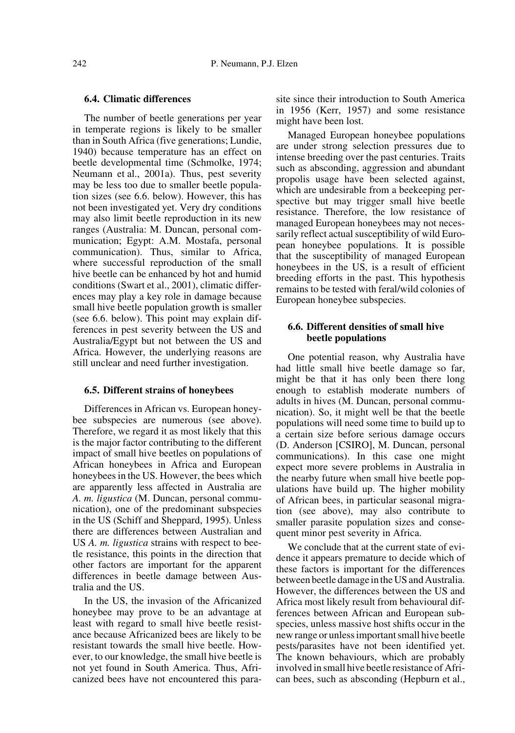## **6.4. Climatic differences**

The number of beetle generations per year in temperate regions is likely to be smaller than in South Africa (five generations; Lundie, 1940) because temperature has an effect on beetle developmental time (Schmolke, 1974; Neumann et al., 2001a). Thus, pest severity may be less too due to smaller beetle population sizes (see 6.6. below). However, this has not been investigated yet. Very dry conditions may also limit beetle reproduction in its new ranges (Australia: M. Duncan, personal communication; Egypt: A.M. Mostafa, personal communication). Thus, similar to Africa, where successful reproduction of the small hive beetle can be enhanced by hot and humid conditions (Swart et al., 2001), climatic differences may play a key role in damage because small hive beetle population growth is smaller (see 6.6. below). This point may explain differences in pest severity between the US and Australia/Egypt but not between the US and Africa. However, the underlying reasons are still unclear and need further investigation.

#### **6.5. Different strains of honeybees**

Differences in African vs. European honeybee subspecies are numerous (see above). Therefore, we regard it as most likely that this is the major factor contributing to the different impact of small hive beetles on populations of African honeybees in Africa and European honeybees in the US. However, the bees which are apparently less affected in Australia are *A. m. ligustica* (M. Duncan, personal communication), one of the predominant subspecies in the US (Schiff and Sheppard, 1995). Unless there are differences between Australian and US *A. m. ligustica* strains with respect to beetle resistance, this points in the direction that other factors are important for the apparent differences in beetle damage between Australia and the US.

In the US, the invasion of the Africanized honeybee may prove to be an advantage at least with regard to small hive beetle resistance because Africanized bees are likely to be resistant towards the small hive beetle. However, to our knowledge, the small hive beetle is not yet found in South America. Thus, Africanized bees have not encountered this parasite since their introduction to South America in 1956 (Kerr, 1957) and some resistance might have been lost.

Managed European honeybee populations are under strong selection pressures due to intense breeding over the past centuries. Traits such as absconding, aggression and abundant propolis usage have been selected against, which are undesirable from a beekeeping perspective but may trigger small hive beetle resistance. Therefore, the low resistance of managed European honeybees may not necessarily reflect actual susceptibility of wild European honeybee populations. It is possible that the susceptibility of managed European honeybees in the US, is a result of efficient breeding efforts in the past. This hypothesis remains to be tested with feral/wild colonies of European honeybee subspecies.

## **6.6. Different densities of small hive beetle populations**

One potential reason, why Australia have had little small hive beetle damage so far, might be that it has only been there long enough to establish moderate numbers of adults in hives (M. Duncan, personal communication). So, it might well be that the beetle populations will need some time to build up to a certain size before serious damage occurs (D. Anderson [CSIRO], M. Duncan, personal communications). In this case one might expect more severe problems in Australia in the nearby future when small hive beetle populations have build up. The higher mobility of African bees, in particular seasonal migration (see above), may also contribute to smaller parasite population sizes and consequent minor pest severity in Africa.

We conclude that at the current state of evidence it appears premature to decide which of these factors is important for the differences between beetle damage in the US and Australia. However, the differences between the US and Africa most likely result from behavioural differences between African and European subspecies, unless massive host shifts occur in the new range or unless important small hive beetle pests/parasites have not been identified yet. The known behaviours, which are probably involved in small hive beetle resistance of African bees, such as absconding (Hepburn et al.,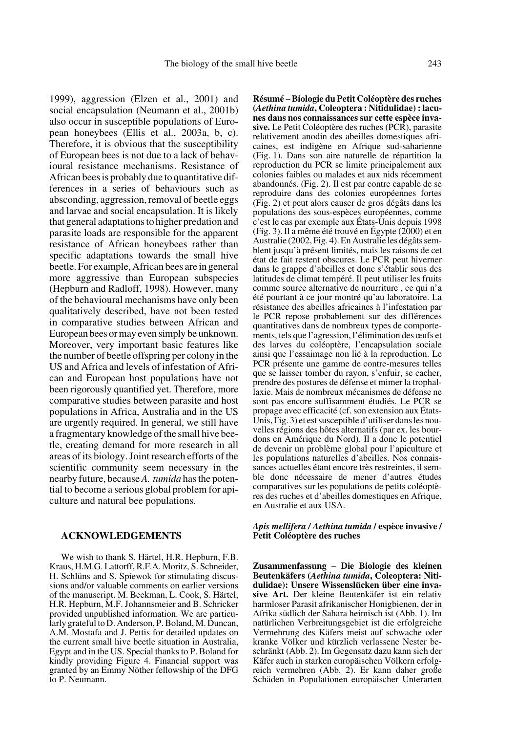1999), aggression (Elzen et al., 2001) and social encapsulation (Neumann et al., 2001b) also occur in susceptible populations of European honeybees (Ellis et al., 2003a, b, c). Therefore, it is obvious that the susceptibility of European bees is not due to a lack of behavioural resistance mechanisms. Resistance of African bees is probably due to quantitative differences in a series of behaviours such as absconding, aggression, removal of beetle eggs and larvae and social encapsulation. It is likely that general adaptations to higher predation and parasite loads are responsible for the apparent resistance of African honeybees rather than specific adaptations towards the small hive beetle. For example, African bees are in general more aggressive than European subspecies (Hepburn and Radloff, 1998). However, many of the behavioural mechanisms have only been qualitatively described, have not been tested in comparative studies between African and European bees or may even simply be unknown. Moreover, very important basic features like the number of beetle offspring per colony in the US and Africa and levels of infestation of African and European host populations have not been rigorously quantified yet. Therefore, more comparative studies between parasite and host populations in Africa, Australia and in the US are urgently required. In general, we still have a fragmentary knowledge of the small hive beetle, creating demand for more research in all areas of its biology. Joint research efforts of the scientific community seem necessary in the nearby future, because *A. tumida* has the potential to become a serious global problem for apiculture and natural bee populations.

## **ACKNOWLEDGEMENTS**

We wish to thank S. Härtel, H.R. Hepburn, F.B. Kraus, H.M.G. Lattorff, R.F.A. Moritz, S. Schneider, H. Schlüns and S. Spiewok for stimulating discussions and/or valuable comments on earlier versions of the manuscript. M. Beekman, L. Cook, S. Härtel, H.R. Hepburn, M.F. Johannsmeier and B. Schricker provided unpublished information. We are particularly grateful to D. Anderson, P. Boland, M. Duncan, A.M. Mostafa and J. Pettis for detailed updates on the current small hive beetle situation in Australia, Egypt and in the US. Special thanks to P. Boland for kindly providing Figure 4. Financial support was granted by an Emmy Nöther fellowship of the DFG to P. Neumann.

**Résumé** – **Biologie du Petit Coléoptère des ruches (***Aethina tumida***, Coleoptera : Nitidulidae) : lacunes dans nos connaissances sur cette espèce invasive.** Le Petit Coléoptère des ruches (PCR), parasite relativement anodin des abeilles domestiques africaines, est indigène en Afrique sud-saharienne (Fig. 1). Dans son aire naturelle de répartition la reproduction du PCR se limite principalement aux colonies faibles ou malades et aux nids récemment abandonnés. (Fig. 2). Il est par contre capable de se reproduire dans des colonies européennes fortes (Fig. 2) et peut alors causer de gros dégâts dans les populations des sous-espèces européennes, comme c'est le cas par exemple aux États-Unis depuis 1998 (Fig. 3). Il a même été trouvé en Égypte (2000) et en Australie (2002, Fig. 4). En Australie les dégâts semblent jusqu'à présent limités, mais les raisons de cet état de fait restent obscures. Le PCR peut hiverner dans le grappe d'abeilles et donc s'établir sous des latitudes de climat tempéré. Il peut utiliser les fruits comme source alternative de nourriture , ce qui n'a été pourtant à ce jour montré qu'au laboratoire. La résistance des abeilles africaines à l'infestation par le PCR repose probablement sur des différences quantitatives dans de nombreux types de comportements, tels que l'agression, l'élimination des œufs et des larves du coléoptère, l'encapsulation sociale ainsi que l'essaimage non lié à la reproduction. Le PCR présente une gamme de contre-mesures telles que se laisser tomber du rayon, s'enfuir, se cacher, prendre des postures de défense et mimer la trophallaxie. Mais de nombreux mécanismes de défense ne sont pas encore suffisamment étudiés. Le PCR se propage avec efficacité (cf. son extension aux États-Unis, Fig. 3) et est susceptible d'utiliser dans les nouvelles régions des hôtes alternatifs (par ex. les bourdons en Amérique du Nord). Il a donc le potentiel de devenir un problème global pour l'apiculture et les populations naturelles d'abeilles. Nos connaissances actuelles étant encore très restreintes, il semble donc nécessaire de mener d'autres études comparatives sur les populations de petits coléoptères des ruches et d'abeilles domestiques en Afrique, en Australie et aux USA.

#### *Apis mellifera / Aethina tumida* **/ espèce invasive / Petit Coléoptère des ruches**

**Zusammenfassung** – **Die Biologie des kleinen Beutenkäfers (***Aethina tumida***, Coleoptera: Nitidulidae): Unsere Wissenslücken über eine invasive Art.** Der kleine Beutenkäfer ist ein relativ harmloser Parasit afrikanischer Honigbienen, der in Afrika südlich der Sahara heimisch ist (Abb. 1). Im natürlichen Verbreitungsgebiet ist die erfolgreiche Vermehrung des Käfers meist auf schwache oder kranke Völker und kürzlich verlassene Nester beschränkt (Abb. 2). Im Gegensatz dazu kann sich der Käfer auch in starken europäischen Völkern erfolgreich vermehren (Abb. 2). Er kann daher große Schäden in Populationen europäischer Unterarten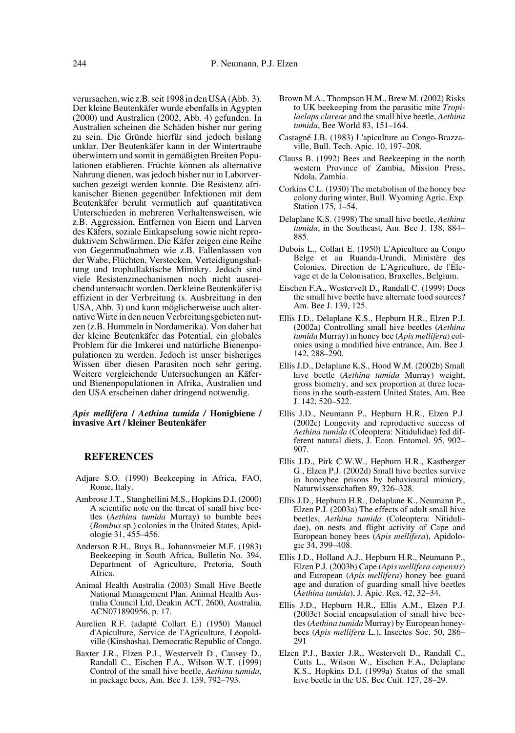verursachen, wie z.B. seit 1998 in den USA (Abb. 3). Der kleine Beutenkäfer wurde ebenfalls in Ägypten (2000) und Australien (2002, Abb. 4) gefunden. In Australien scheinen die Schäden bisher nur gering zu sein. Die Gründe hierfür sind jedoch bislang unklar. Der Beutenkäfer kann in der Wintertraube überwintern und somit in gemäßigten Breiten Populationen etablieren. Früchte können als alternative Nahrung dienen, was jedoch bisher nur in Laborversuchen gezeigt werden konnte. Die Resistenz afrikanischer Bienen gegenüber Infektionen mit dem Beutenkäfer beruht vermutlich auf quantitativen Unterschieden in mehreren Verhaltensweisen, wie z.B. Aggression, Entfernen von Eiern und Larven des Käfers, soziale Einkapselung sowie nicht reproduktivem Schwärmen. Die Käfer zeigen eine Reihe von Gegenmaßnahmen wie z.B. Fallenlassen von der Wabe, Flüchten, Verstecken, Verteidigungshaltung und trophallaktische Mimikry. Jedoch sind viele Resistenzmechanismen noch nicht ausreichend untersucht worden. Der kleine Beutenkäfer ist effizient in der Verbreitung (s. Ausbreitung in den USA, Abb. 3) und kann möglicherweise auch alternative Wirte in den neuen Verbreitungsgebieten nutzen (z.B. Hummeln in Nordamerika). Von daher hat der kleine Beutenkäfer das Potential, ein globales Problem für die Imkerei und natürliche Bienenpopulationen zu werden. Jedoch ist unser bisheriges Wissen über diesen Parasiten noch sehr gering. Weitere vergleichende Untersuchungen an Käferund Bienenpopulationen in Afrika, Australien und den USA erscheinen daher dringend notwendig.

#### *Apis mellifera* **/** *Aethina tumida /* **Honigbiene / invasive Art / kleiner Beutenkäfer**

## **REFERENCES**

- Adjare S.O. (1990) Beekeeping in Africa, FAO, Rome, Italy.
- Ambrose J.T., Stanghellini M.S., Hopkins D.I. (2000) A scientific note on the threat of small hive beetles (*Aethina tumida* Murray) to bumble bees (*Bombus* sp.) colonies in the United States, Apidologie 31, 455–456.
- Anderson R.H., Buys B., Johannsmeier M.F. (1983) Beekeeping in South Africa, Bulletin No. 394, Department of Agriculture, Pretoria, South Africa.
- Animal Health Australia (2003) Small Hive Beetle National Management Plan. Animal Health Australia Council Ltd, Deakin ACT, 2600, Australia, ACN071890956, p. 17.
- Aurelien R.F. (adapté Collart E.) (1950) Manuel d'Apiculture, Service de l'Agriculture, Léopoldville (Kinshasha), Democratic Republic of Congo.
- Baxter J.R., Elzen P.J., Westervelt D., Causey D., Randall C., Eischen F.A., Wilson W.T. (1999) Control of the small hive beetle, *Aethina tumida*, in package bees, Am. Bee J. 139, 792–793.
- Brown M.A., Thompson H.M., Brew M. (2002) Risks to UK beekeeping from the parasitic mite *Tropilaelaps clareae* and the small hive beetle, *Aethina tumida*, Bee World 83, 151–164.
- Castagné J.B. (1983) L'apiculture au Congo-Brazzaville, Bull. Tech. Apic. 10, 197–208.
- Clauss B. (1992) Bees and Beekeeping in the north western Province of Zambia, Mission Press, Ndola, Zambia.
- Corkins C.L. (1930) The metabolism of the honey bee colony during winter, Bull. Wyoming Agric. Exp. Station 175, 1–54.
- Delaplane K.S. (1998) The small hive beetle, *Aethina tumida*, in the Southeast, Am. Bee J. 138, 884– 885.
- Dubois L., Collart E. (1950) L'Apiculture au Congo Belge et au Ruanda-Urundi, Ministère des Colonies. Direction de L'Agriculture, de l'Élevage et de la Colonisation, Bruxelles, Belgium.
- Eischen F.A., Westervelt D., Randall C. (1999) Does the small hive beetle have alternate food sources? Am. Bee J. 139, 125.
- Ellis J.D., Delaplane K.S., Hepburn H.R., Elzen P.J. (2002a) Controlling small hive beetles (*Aethina tumida* Murray) in honey bee (*Apis mellifera*) colonies using a modified hive entrance, Am. Bee J. 142, 288–290.
- Ellis J.D., Delaplane K.S., Hood W.M. (2002b) Small hive beetle (*Aethina tumida* Murray) weight, gross biometry, and sex proportion at three locations in the south-eastern United States, Am. Bee J. 142, 520–522.
- Ellis J.D., Neumann P., Hepburn H.R., Elzen P.J. (2002c) Longevity and reproductive success of *Aethina tumida* (Coleoptera: Nitidulidae) fed different natural diets, J. Econ. Entomol. 95, 902– 907.
- Ellis J.D., Pirk C.W.W., Hepburn H.R., Kastberger G., Elzen P.J. (2002d) Small hive beetles survive in honeybee prisons by behavioural mimicry, Naturwissenschaften 89, 326–328.
- Ellis J.D., Hepburn H.R., Delaplane K., Neumann P., Elzen P.J. (2003a) The effects of adult small hive beetles, *Aethina tumida* (Coleoptera: Nitidulidae), on nests and flight activity of Cape and European honey bees (*Apis mellifera*), Apidologie 34, 399–408.
- Ellis J.D., Holland A.J., Hepburn H.R., Neumann P., Elzen P.J. (2003b) Cape (*Apis mellifera capensis*) and European (*Apis mellifera*) honey bee guard age and duration of guarding small hive beetles (*Aethina tumida*), J. Apic. Res. 42, 32–34.
- Ellis J.D., Hepburn H.R., Ellis A.M., Elzen P.J. (2003c) Social encapsulation of small hive beetles (*Aethina tumida* Murray) by European honeybees (*Apis mellifera* L.), Insectes Soc. 50, 286– 291
- Elzen P.J., Baxter J.R., Westervelt D., Randall C., Cutts L., Wilson W., Eischen F.A., Delaplane K.S., Hopkins D.I. (1999a) Status of the small hive beetle in the US, Bee Cult. 127, 28–29.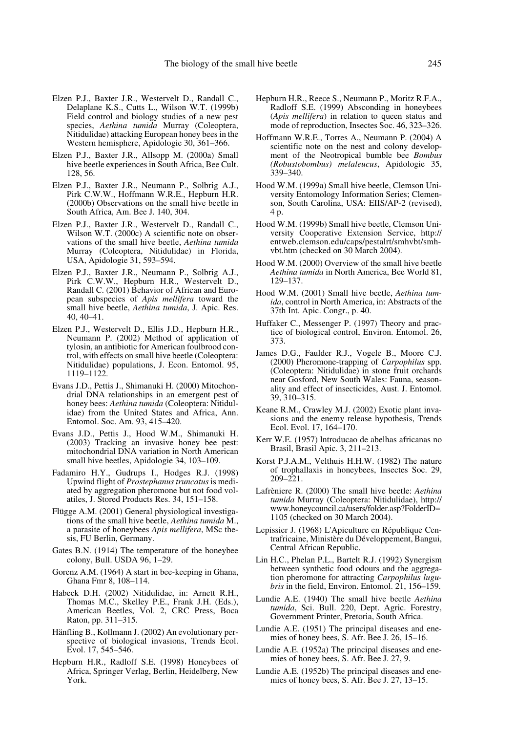- Elzen P.J., Baxter J.R., Westervelt D., Randall C., Delaplane K.S., Cutts L., Wilson W.T. (1999b) Field control and biology studies of a new pest species, *Aethina tumida* Murray (Coleoptera, Nitidulidae) attacking European honey bees in the Western hemisphere, Apidologie 30, 361–366.
- Elzen P.J., Baxter J.R., Allsopp M. (2000a) Small hive beetle experiences in South Africa, Bee Cult. 128, 56.
- Elzen P.J., Baxter J.R., Neumann P., Solbrig A.J., Pirk C.W.W., Hoffmann W.R.E., Hepburn H.R. (2000b) Observations on the small hive beetle in South Africa, Am. Bee J. 140, 304.
- Elzen P.J., Baxter J.R., Westervelt D., Randall C., Wilson W.T. (2000c) A scientific note on observations of the small hive beetle, *Aethina tumida* Murray (Coleoptera, Nitidulidae) in Florida, USA, Apidologie 31, 593–594.
- Elzen P.J., Baxter J.R., Neumann P., Solbrig A.J., Pirk C.W.W., Hepburn H.R., Westervelt D., Randall C. (2001) Behavior of African and European subspecies of *Apis mellifera* toward the small hive beetle, *Aethina tumida*, J. Apic. Res. 40, 40–41.
- Elzen P.J., Westervelt D., Ellis J.D., Hepburn H.R., Neumann P. (2002) Method of application of tylosin, an antibiotic for American foulbrood control, with effects on small hive beetle (Coleoptera: Nitidulidae) populations, J. Econ. Entomol. 95, 1119–1122.
- Evans J.D., Pettis J., Shimanuki H. (2000) Mitochondrial DNA relationships in an emergent pest of honey bees: Aethina tumida (Coleoptera: Nitidulidae) from the United States and Africa, Ann. Entomol. Soc. Am. 93, 415–420.
- Evans J.D., Pettis J., Hood W.M., Shimanuki H. (2003) Tracking an invasive honey bee pest: mitochondrial DNA variation in North American small hive beetles, Apidologie 34, 103–109.
- Fadamiro H.Y., Gudrups I., Hodges R.J. (1998) Upwind flight of *Prostephanus truncatus* is mediated by aggregation pheromone but not food volatiles, J. Stored Products Res. 34, 151–158.
- Flügge A.M. (2001) General physiological investigations of the small hive beetle, *Aethina tumida* M., a parasite of honeybees *Apis mellifera*, MSc thesis, FU Berlin, Germany.
- Gates B.N. (1914) The temperature of the honeybee colony, Bull. USDA 96, 1–29.
- Gorenz A.M. (1964) A start in bee-keeping in Ghana, Ghana Fmr 8, 108–114.
- Habeck D.H. (2002) Nitidulidae, in: Arnett R.H., Thomas M.C., Skelley P.E., Frank J.H. (Eds.), American Beetles, Vol. 2, CRC Press, Boca Raton, pp. 311–315.
- Hänfling B., Kollmann J. (2002) An evolutionary perspective of biological invasions, Trends Ecol. Evol. 17, 545–546.
- Hepburn H.R., Radloff S.E. (1998) Honeybees of Africa, Springer Verlag, Berlin, Heidelberg, New York.
- Hepburn H.R., Reece S., Neumann P., Moritz R.F.A., Radloff S.E. (1999) Absconding in honeybees (*Apis mellifera*) in relation to queen status and mode of reproduction, Insectes Soc. 46, 323–326.
- Hoffmann W.R.E., Torres A., Neumann P. (2004) A scientific note on the nest and colony development of the Neotropical bumble bee *Bombus (Robustobombus) melaleucus*, Apidologie 35, 339–340.
- Hood W.M. (1999a) Small hive beetle, Clemson University Entomology Information Series; Clemenson, South Carolina, USA: EIIS/AP-2 (revised), 4 p.
- Hood W.M. (1999b) Small hive beetle, Clemson University Cooperative Extension Service, http:// entweb.clemson.edu/caps/pestalrt/smhvbt/smhvbt.htm (checked on 30 March 2004).
- Hood W.M. (2000) Overview of the small hive beetle *Aethina tumida* in North America, Bee World 81, 129–137.
- Hood W.M. (2001) Small hive beetle, *Aethina tumida*, control in North America, in: Abstracts of the 37th Int. Apic. Congr., p. 40.
- Huffaker C., Messenger P. (1997) Theory and practice of biological control, Environ. Entomol. 26, 373.
- James D.G., Faulder R.J., Vogele B., Moore C.J. (2000) Pheromone-trapping of *Carpophilus* spp. (Coleoptera: Nitidulidae) in stone fruit orchards near Gosford, New South Wales: Fauna, seasonality and effect of insecticides, Aust. J. Entomol. 39, 310–315.
- Keane R.M., Crawley M.J. (2002) Exotic plant invasions and the enemy release hypothesis, Trends Ecol. Evol. 17, 164–170.
- Kerr W.E. (1957) lntroducao de abelhas africanas no Brasil, Brasil Apic. 3, 211–213.
- Korst P.J.A.M., Velthuis H.H.W. (1982) The nature of trophallaxis in honeybees, Insectes Soc. 29, 209–221.
- Lafrèniere R. (2000) The small hive beetle: *Aethina tumida* Murray (Coleoptera: Nitidulidae), http:// www.honeycouncil.ca/users/folder.asp?FolderID= 1105 (checked on 30 March 2004).
- Lepissier J. (1968) L'Apiculture en République Centrafricaine, Ministère du Développement, Bangui, Central African Republic.
- Lin H.C., Phelan P.L., Bartelt R.J. (1992) Synergism between synthetic food odours and the aggregation pheromone for attracting *Carpophilus lugubris* in the field, Environ. Entomol. 21, 156–159.
- Lundie A.E. (1940) The small hive beetle *Aethina tumida*, Sci. Bull. 220, Dept. Agric. Forestry, Government Printer, Pretoria, South Africa.
- Lundie A.E. (1951) The principal diseases and enemies of honey bees, S. Afr. Bee J. 26, 15–16.
- Lundie A.E. (1952a) The principal diseases and enemies of honey bees, S. Afr. Bee J. 27, 9.
- Lundie A.E. (1952b) The principal diseases and enemies of honey bees, S. Afr. Bee J. 27, 13–15.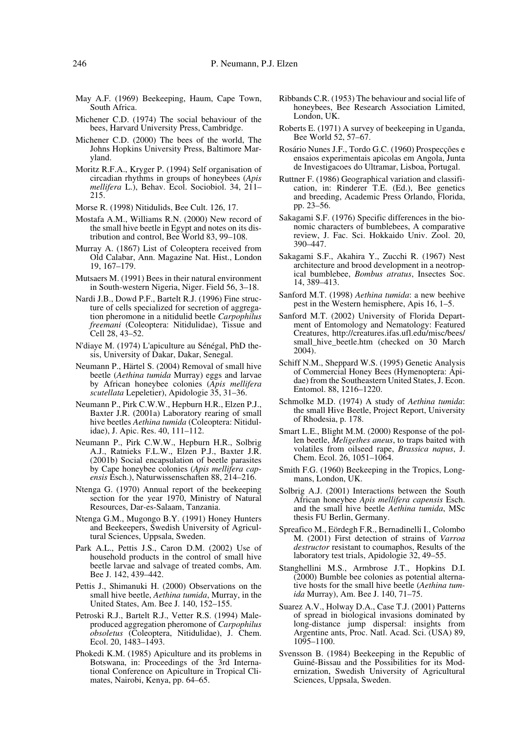- May A.F. (1969) Beekeeping, Haum, Cape Town, South Africa.
- Michener C.D. (1974) The social behaviour of the bees, Harvard University Press, Cambridge.
- Michener C.D. (2000) The bees of the world, The Johns Hopkins University Press, Baltimore Maryland.
- Moritz R.F.A., Kryger P. (1994) Self organisation of circadian rhythms in groups of honeybees (*Apis mellifera* L.), Behav. Ecol. Sociobiol. 34, 211– 215.
- Morse R. (1998) Nitidulids, Bee Cult. 126, 17.
- Mostafa A.M., Williams R.N. (2000) New record of the small hive beetle in Egypt and notes on its distribution and control, Bee World 83, 99–108.
- Murray A. (1867) List of Coleoptera received from Old Calabar, Ann. Magazine Nat. Hist., London 19, 167–179.
- Mutsaers M. (1991) Bees in their natural environment in South-western Nigeria, Niger. Field 56, 3–18.
- Nardi J.B., Dowd P.F., Bartelt R.J. (1996) Fine structure of cells specialized for secretion of aggregation pheromone in a nitidulid beetle *Carpophilus freemani* (Coleoptera: Nitidulidae), Tissue and Cell 28, 43–52.
- N'diaye M. (1974) L'apiculture au Sénégal, PhD thesis, University of Dakar, Dakar, Senegal.
- Neumann P., Härtel S. (2004) Removal of small hive beetle (*Aethina tumida* Murray) eggs and larvae by African honeybee colonies (*Apis mellifera scutellata* Lepeletier), Apidologie 35, 31–36.
- Neumann P., Pirk C.W.W., Hepburn H.R., Elzen P.J., Baxter J.R. (2001a) Laboratory rearing of small hive beetles *Aethina tumida* (Coleoptera: Nitidulidae), J. Apic. Res. 40, 111–112.
- Neumann P., Pirk C.W.W., Hepburn H.R., Solbrig A.J., Ratnieks F.L.W., Elzen P.J., Baxter J.R. (2001b) Social encapsulation of beetle parasites by Cape honeybee colonies (*Apis mellifera capensis* Esch.), Naturwissenschaften 88, 214–216.
- Ntenga G. (1970) Annual report of the beekeeping section for the year 1970, Ministry of Natural Resources, Dar-es-Salaam, Tanzania.
- Ntenga G.M., Mugongo B.Y. (1991) Honey Hunters and Beekeepers, Swedish University of Agricultural Sciences, Uppsala, Sweden.
- Park A.L., Pettis J.S., Caron D.M. (2002) Use of household products in the control of small hive beetle larvae and salvage of treated combs, Am. Bee J. 142, 439–442.
- Pettis J., Shimanuki H. (2000) Observations on the small hive beetle, *Aethina tumida*, Murray, in the United States, Am. Bee J. 140, 152–155.
- Petroski R.J., Bartelt R.J., Vetter R.S. (1994) Maleproduced aggregation pheromone of *Carpophilus obsoletus* (Coleoptera, Nitidulidae), J. Chem. Ecol. 20, 1483–1493.
- Phokedi K.M. (1985) Apiculture and its problems in Botswana, in: Proceedings of the 3rd International Conference on Apiculture in Tropical Climates, Nairobi, Kenya, pp. 64–65.
- Ribbands C.R. (1953) The behaviour and social life of honeybees, Bee Research Association Limited, London, UK.
- Roberts E. (1971) A survey of beekeeping in Uganda, Bee World 52, 57–67.
- Rosário Nunes J.F., Tordo G.C. (1960) Prospecções e ensaios experimentais apicolas em Angola, Junta de Investigacoes do Ultramar, Lisboa, Portugal.
- Ruttner F. (1986) Geographical variation and classification, in: Rinderer T.E. (Ed.), Bee genetics and breeding, Academic Press Orlando, Florida, pp. 23–56.
- Sakagami S.F. (1976) Specific differences in the bionomic characters of bumblebees, A comparative review, J. Fac. Sci. Hokkaido Univ. Zool. 20, 390–447.
- Sakagami S.F., Akahira Y., Zucchi R. (1967) Nest architecture and brood development in a neotropical bumblebee, *Bombus atratus*, Insectes Soc. 14, 389–413.
- Sanford M.T. (1998) *Aethina tumida*: a new beehive pest in the Western hemisphere, Apis 16, 1–5.
- Sanford M.T. (2002) University of Florida Department of Entomology and Nematology: Featured Creatures, http://creatures.ifas.ufl.edu/misc/bees/ small\_hive\_beetle.htm (checked on 30 March 2004).
- Schiff N.M., Sheppard W.S. (1995) Genetic Analysis of Commercial Honey Bees (Hymenoptera: Apidae) from the Southeastern United States, J. Econ. Entomol. 88, 1216–1220.
- Schmolke M.D. (1974) A study of *Aethina tumida*: the small Hive Beetle, Project Report, University of Rhodesia, p. 178.
- Smart L.E., Blight M.M. (2000) Response of the pollen beetle, *Meligethes aneus*, to traps baited with volatiles from oilseed rape, *Brassica napus*, J. Chem. Ecol. 26, 1051–1064.
- Smith F.G. (1960) Beekeeping in the Tropics, Longmans, London, UK.
- Solbrig A.J. (2001) Interactions between the South African honeybee *Apis mellifera capensis* Esch. and the small hive beetle *Aethina tumida*, MSc thesis FU Berlin, Germany.
- Spreafico M., Eördegh F.R., Bernadinelli I., Colombo M. (2001) First detection of strains of *Varroa destructor* resistant to coumaphos, Results of the laboratory test trials, Apidologie 32, 49–55.
- Stanghellini M.S., Armbrose J.T., Hopkins D.I. (2000) Bumble bee colonies as potential alternative hosts for the small hive beetle (*Aethina tumida* Murray), Am. Bee J. 140, 71–75.
- Suarez A.V., Holway D.A., Case T.J. (2001) Patterns of spread in biological invasions dominated by long-distance jump dispersal: insights from Argentine ants, Proc. Natl. Acad. Sci. (USA) 89, 1095–1100.
- Svensson B. (1984) Beekeeping in the Republic of Guiné-Bissau and the Possibilities for its Modernization, Swedish University of Agricultural Sciences, Uppsala, Sweden.